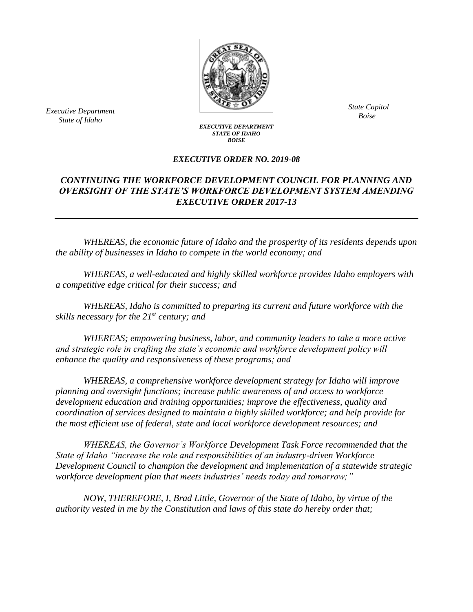

*Bxecutive Department*<br>*Boise Boise State of Idaho*

*State Capitol*

## *EXECUTIVE DEPARTMENT STATE OF IDAHO BOISE*

## *EXECUTIVE ORDER NO. 2019-08*

## *CONTINUING THE WORKFORCE DEVELOPMENT COUNCIL FOR PLANNING AND OVERSIGHT OF THE STATE'S WORKFORCE DEVELOPMENT SYSTEM AMENDING EXECUTIVE ORDER 2017-13*

*WHEREAS, the economic future of Idaho and the prosperity of its residents depends upon the ability of businesses in Idaho to compete in the world economy; and*

*WHEREAS, a well-educated and highly skilled workforce provides Idaho employers with a competitive edge critical for their success; and*

*WHEREAS, Idaho is committed to preparing its current and future workforce with the skills necessary for the 21st century; and*

*WHEREAS; empowering business, labor, and community leaders to take a more active and strategic role in crafting the state's economic and workforce development policy will enhance the quality and responsiveness of these programs; and*

*WHEREAS, a comprehensive workforce development strategy for Idaho will improve planning and oversight functions; increase public awareness of and access to workforce development education and training opportunities; improve the effectiveness, quality and coordination of services designed to maintain a highly skilled workforce; and help provide for the most efficient use of federal, state and local workforce development resources; and*

*WHEREAS, the Governor's Workforce Development Task Force recommended that the State of Idaho "increase the role and responsibilities of an industry-driven Workforce Development Council to champion the development and implementation of a statewide strategic workforce development plan that meets industries' needs today and tomorrow;"*

*NOW, THEREFORE, I, Brad Little, Governor of the State of Idaho, by virtue of the authority vested in me by the Constitution and laws of this state do hereby order that;*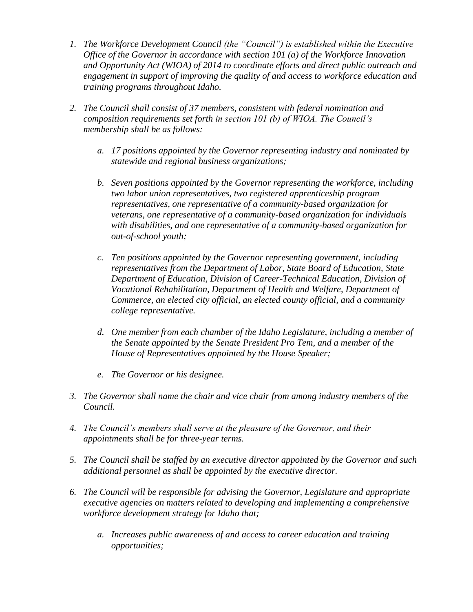- *1. The Workforce Development Council (the "Council") is established within the Executive Office of the Governor in accordance with section 101 (a) of the Workforce Innovation and Opportunity Act (WIOA) of 2014 to coordinate efforts and direct public outreach and engagement in support of improving the quality of and access to workforce education and training programs throughout Idaho.*
- *2. The Council shall consist of 37 members, consistent with federal nomination and composition requirements set forth in section 101 (b) of WIOA. The Council's membership shall be as follows:*
	- *a. 17 positions appointed by the Governor representing industry and nominated by statewide and regional business organizations;*
	- *b. Seven positions appointed by the Governor representing the workforce, including two labor union representatives, two registered apprenticeship program representatives, one representative of a community-based organization for veterans, one representative of a community-based organization for individuals with disabilities, and one representative of a community-based organization for out-of-school youth;*
	- *c. Ten positions appointed by the Governor representing government, including representatives from the Department of Labor, State Board of Education, State Department of Education, Division of Career-Technical Education, Division of Vocational Rehabilitation, Department of Health and Welfare, Department of Commerce, an elected city official, an elected county official, and a community college representative.*
	- *d. One member from each chamber of the Idaho Legislature, including a member of the Senate appointed by the Senate President Pro Tem, and a member of the House of Representatives appointed by the House Speaker;*
	- *e. The Governor or his designee.*
- *3. The Governor shall name the chair and vice chair from among industry members of the Council.*
- *4. The Council's members shall serve at the pleasure of the Governor, and their appointments shall be for three-year terms.*
- *5. The Council shall be staffed by an executive director appointed by the Governor and such additional personnel as shall be appointed by the executive director.*
- *6. The Council will be responsible for advising the Governor, Legislature and appropriate executive agencies on matters related to developing and implementing a comprehensive workforce development strategy for Idaho that;* 
	- *a. Increases public awareness of and access to career education and training opportunities;*